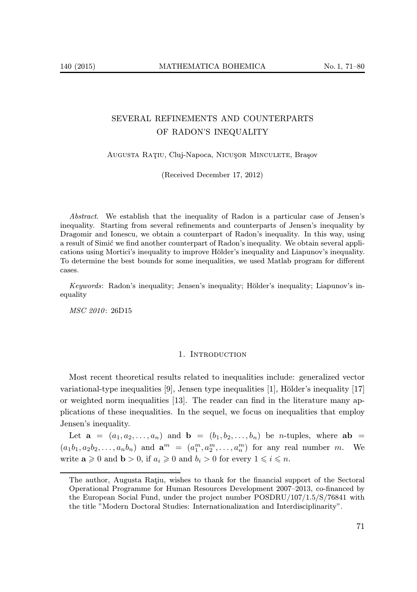# SEVERAL REFINEMENTS AND COUNTERPARTS OF RADON'S INEQUALITY

Augusta Ratiu, Cluj-Napoca, Nicusor Minculete, Brașov

(Received December 17, 2012)

Abstract. We establish that the inequality of Radon is a particular case of Jensen's inequality. Starting from several refinements and counterparts of Jensen's inequality by Dragomir and Ionescu, we obtain a counterpart of Radon's inequality. In this way, using a result of Simić we find another counterpart of Radon's inequality. We obtain several applications using Mortici's inequality to improve Hölder's inequality and Liapunov's inequality. To determine the best bounds for some inequalities, we used Matlab program for different cases.

Keywords: Radon's inequality; Jensen's inequality; Hölder's inequality; Liapunov's inequality

MSC 2010: 26D15

#### 1. INTRODUCTION

Most recent theoretical results related to inequalities include: generalized vector variational-type inequalities [9], Jensen type inequalities [1], Hölder's inequality [17] or weighted norm inequalities [13]. The reader can find in the literature many applications of these inequalities. In the sequel, we focus on inequalities that employ Jensen's inequality.

Let  $\mathbf{a} = (a_1, a_2, \ldots, a_n)$  and  $\mathbf{b} = (b_1, b_2, \ldots, b_n)$  be *n*-tuples, where  $\mathbf{ab} =$  $(a_1b_1, a_2b_2, \ldots, a_nb_n)$  and  $\mathbf{a}^m = (a_1^m, a_2^m, \ldots, a_n^m)$  for any real number m. We write  $\mathbf{a} \geq 0$  and  $\mathbf{b} > 0$ , if  $a_i \geq 0$  and  $b_i > 0$  for every  $1 \leq i \leq n$ .

The author, Augusta Ratiu, wishes to thank for the financial support of the Sectoral Operational Programme for Human Resources Development 2007–2013, co-financed by the European Social Fund, under the project number POSDRU/107/1.5/S/76841 with the title "Modern Doctoral Studies: Internationalization and Interdisciplinarity".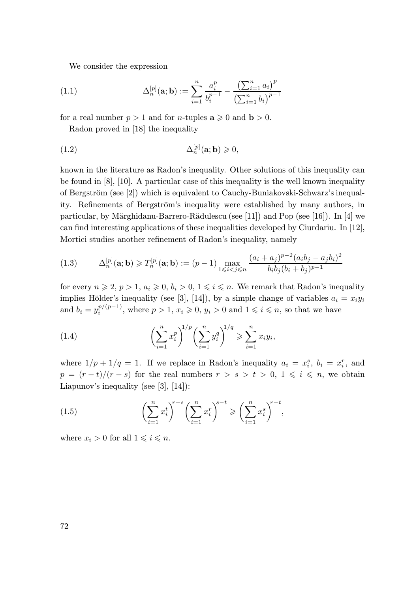We consider the expression

(1.1) 
$$
\Delta_n^{[p]}(\mathbf{a}; \mathbf{b}) := \sum_{i=1}^n \frac{a_i^p}{b_i^{p-1}} - \frac{\left(\sum_{i=1}^n a_i\right)^p}{\left(\sum_{i=1}^n b_i\right)^{p-1}}
$$

for a real number  $p > 1$  and for *n*-tuples  $a \ge 0$  and  $b > 0$ .

Radon proved in [18] the inequality

(1.2) 
$$
\Delta_n^{[p]}(\mathbf{a}; \mathbf{b}) \geq 0,
$$

known in the literature as Radon's inequality. Other solutions of this inequality can be found in  $[8]$ ,  $[10]$ . A particular case of this inequality is the well known inequality of Bergström (see [2]) which is equivalent to Cauchy-Buniakovski-Schwarz's inequality. Refinements of Bergström's inequality were established by many authors, in particular, by Mărghidanu-Barrero-Rădulescu (see [11]) and Pop (see [16]). In [4] we can find interesting applications of these inequalities developed by Ciurdariu. In [12], Mortici studies another refinement of Radon's inequality, namely

$$
(1.3) \qquad \Delta_n^{[p]}(\mathbf{a}; \mathbf{b}) \ge T_n^{[p]}(\mathbf{a}; \mathbf{b}) := (p-1) \max_{1 \le i < j \le n} \frac{(a_i + a_j)^{p-2} (a_i b_j - a_j b_i)^2}{b_i b_j (b_i + b_j)^{p-1}}
$$

for every  $n \ge 2$ ,  $p > 1$ ,  $a_i \ge 0$ ,  $b_i > 0$ ,  $1 \le i \le n$ . We remark that Radon's inequality implies Hölder's inequality (see [3], [14]), by a simple change of variables  $a_i = x_i y_i$ and  $b_i = y_i^{p/(p-1)}$ , where  $p > 1$ ,  $x_i \geqslant 0$ ,  $y_i > 0$  and  $1 \leqslant i \leqslant n$ , so that we have

(1.4) 
$$
\left(\sum_{i=1}^{n} x_i^p\right)^{1/p} \left(\sum_{i=1}^{n} y_i^q\right)^{1/q} \geq \sum_{i=1}^{n} x_i y_i,
$$

where  $1/p + 1/q = 1$ . If we replace in Radon's inequality  $a_i = x_i^s$ ,  $b_i = x_i^r$ , and  $p = (r - t)/(r - s)$  for the real numbers  $r > s > t > 0, 1 \leq i \leq n$ , we obtain Liapunov's inequality (see [3], [14]):

(1.5) 
$$
\left(\sum_{i=1}^{n} x_i^t\right)^{r-s} \left(\sum_{i=1}^{n} x_i^r\right)^{s-t} \geqslant \left(\sum_{i=1}^{n} x_i^s\right)^{r-t},
$$

where  $x_i > 0$  for all  $1 \leq i \leq n$ .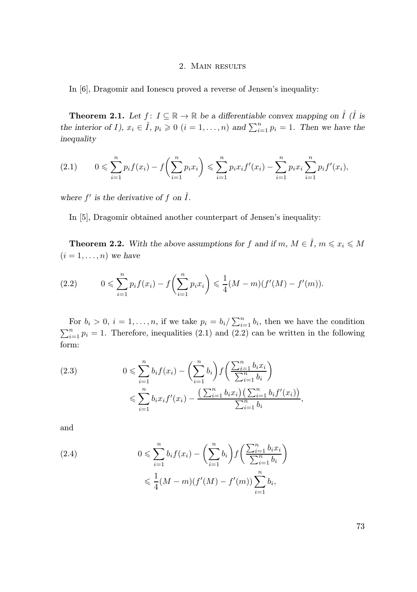### 2. Main results

In [6], Dragomir and Ionescu proved a reverse of Jensen's inequality:

**Theorem 2.1.** Let  $f: I \subseteq \mathbb{R} \to \mathbb{R}$  be a differentiable convex mapping on  $\hat{I}$  ( $\hat{I}$  is the interior of I),  $x_i \in \mathring{I}$ ,  $p_i \geq 0$   $(i = 1, ..., n)$  and  $\sum_{i=1}^{n} p_i = 1$ . Then we have the inequality

$$
(2.1) \qquad 0 \leqslant \sum_{i=1}^{n} p_i f(x_i) - f\left(\sum_{i=1}^{n} p_i x_i\right) \leqslant \sum_{i=1}^{n} p_i x_i f'(x_i) - \sum_{i=1}^{n} p_i x_i \sum_{i=1}^{n} p_i f'(x_i),
$$

where  $f'$  is the derivative of  $f$  on  $\mathring{I}$ .

In [5], Dragomir obtained another counterpart of Jensen's inequality:

**Theorem 2.2.** With the above assumptions for f and if m,  $M \in \mathring{I}$ ,  $m \leq x_i \leq M$  $(i = 1, \ldots, n)$  we have

(2.2) 
$$
0 \leqslant \sum_{i=1}^{n} p_i f(x_i) - f\left(\sum_{i=1}^{n} p_i x_i\right) \leqslant \frac{1}{4} (M-m)(f'(M) - f'(m)).
$$

For  $b_i > 0$ ,  $i = 1, ..., n$ , if we take  $p_i = b_i / \sum_{i=1}^n b_i$ , then we have the condition  $\sum_{i=1}^{n} p_i = 1$ . Therefore, inequalities (2.1) and (2.2) can be written in the following form:

$$
(2.3) \t 0 \leqslant \sum_{i=1}^{n} b_i f(x_i) - \left(\sum_{i=1}^{n} b_i\right) f\left(\frac{\sum_{i=1}^{n} b_i x_i}{\sum_{i=1}^{n} b_i}\right) \leqslant \sum_{i=1}^{n} b_i x_i f'(x_i) - \frac{\left(\sum_{i=1}^{n} b_i x_i\right)\left(\sum_{i=1}^{n} b_i f'(x_i)\right)}{\sum_{i=1}^{n} b_i},
$$

and

(2.4) 
$$
0 \leqslant \sum_{i=1}^{n} b_i f(x_i) - \left(\sum_{i=1}^{n} b_i\right) f\left(\frac{\sum_{i=1}^{n} b_i x_i}{\sum_{i=1}^{n} b_i}\right) \leqslant \frac{1}{4} (M-m) (f'(M) - f'(m)) \sum_{i=1}^{n} b_i,
$$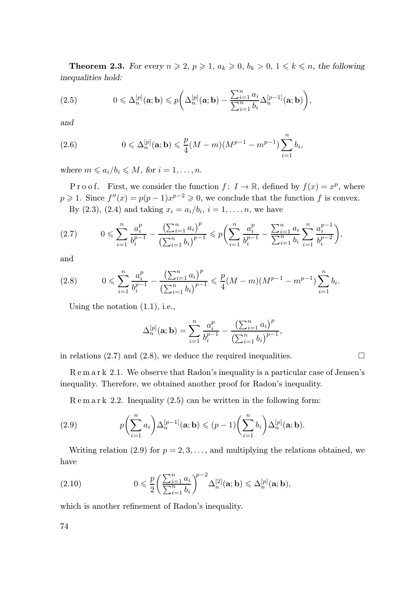**Theorem 2.3.** For every  $n \ge 2$ ,  $p \ge 1$ ,  $a_k \ge 0$ ,  $b_k > 0$ ,  $1 \le k \le n$ , the following inequalities hold:

(2.5) 
$$
0 \leq \Delta_n^{[p]}(\mathbf{a}; \mathbf{b}) \leq p \bigg( \Delta_n^{[p]}(\mathbf{a}; \mathbf{b}) - \frac{\sum_{i=1}^n a_i}{\sum_{i=1}^n b_i} \Delta_n^{[p-1]}(\mathbf{a}; \mathbf{b}) \bigg),
$$

and

(2.6) 
$$
0 \leq \Delta_n^{[p]}(\mathbf{a}; \mathbf{b}) \leq \frac{p}{4}(M-m)(M^{p-1}-m^{p-1})\sum_{i=1}^n b_i,
$$

where  $m \leq a_i/b_i \leq M$ , for  $i = 1, \ldots, n$ .

P r o o f. First, we consider the function  $f: I \to \mathbb{R}$ , defined by  $f(x) = x^p$ , where  $p \geq 1$ . Since  $f''(x) = p(p-1)x^{p-2} \geq 0$ , we conclude that the function f is convex. By  $(2.3)$ ,  $(2.4)$  and taking  $x_i = a_i/b_i$ ,  $i = 1, ..., n$ , we have

$$
(2.7) \qquad 0 \leqslant \sum_{i=1}^{n} \frac{a_i^p}{b_i^{p-1}} - \frac{\left(\sum_{i=1}^{n} a_i\right)^p}{\left(\sum_{i=1}^{n} b_i\right)^{p-1}} \leqslant p \bigg(\sum_{i=1}^{n} \frac{a_i^p}{b_i^{p-1}} - \frac{\sum_{i=1}^{n} a_i}{\sum_{i=1}^{n} b_i} \sum_{i=1}^{n} \frac{a_i^{p-1}}{b_i^{p-2}}\bigg),
$$

and

$$
(2.8) \qquad 0 \leqslant \sum_{i=1}^{n} \frac{a_i^p}{b_i^{p-1}} - \frac{\left(\sum_{i=1}^{n} a_i\right)^p}{\left(\sum_{i=1}^{n} b_i\right)^{p-1}} \leqslant \frac{p}{4} (M-m)(M^{p-1} - m^{p-1}) \sum_{i=1}^{n} b_i.
$$

Using the notation (1.1), i.e.,

$$
\Delta_n^{[p]}(\mathbf{a};\mathbf{b}) = \sum_{i=1}^n \frac{a_i^p}{b_i^{p-1}} - \frac{\left(\sum_{i=1}^n a_i\right)^p}{\left(\sum_{i=1}^n b_i\right)^{p-1}},
$$

in relations (2.7) and (2.8), we deduce the required inequalities.  $\Box$ 

R e m a r k 2.1. We observe that Radon's inequality is a particular case of Jensen's inequality. Therefore, we obtained another proof for Radon's inequality.

 $R \text{ e m a r k } 2.2$ . Inequality  $(2.5)$  can be written in the following form:

(2.9) 
$$
p\left(\sum_{i=1}^n a_i\right) \Delta_n^{[p-1]}(\mathbf{a}; \mathbf{b}) \leqslant (p-1)\left(\sum_{i=1}^n b_i\right) \Delta_n^{[p]}(\mathbf{a}; \mathbf{b}).
$$

Writing relation (2.9) for  $p = 2, 3, \ldots$ , and multiplying the relations obtained, we have

(2.10) 
$$
0 \leqslant \frac{p}{2} \left( \frac{\sum_{i=1}^n a_i}{\sum_{i=1}^n b_i} \right)^{p-2} \Delta_n^{[2]}(\mathbf{a}; \mathbf{b}) \leqslant \Delta_n^{[p]}(\mathbf{a}; \mathbf{b}),
$$

which is another refinement of Radon's inequality.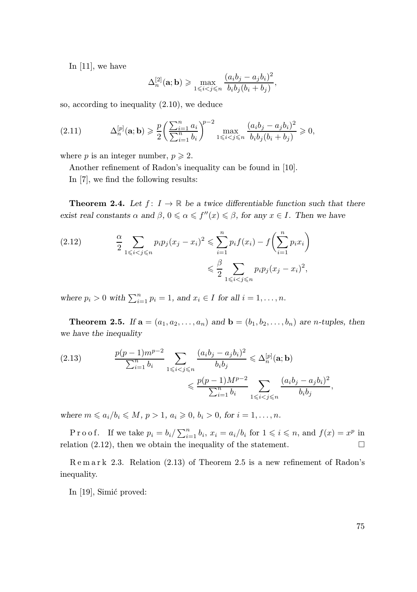In [11], we have

$$
\Delta_n^{[2]}(\mathbf{a};\mathbf{b}) \geqslant \max_{1 \leqslant i < j \leqslant n} \frac{(a_i b_j - a_j b_i)^2}{b_i b_j (b_i + b_j)},
$$

so, according to inequality (2.10), we deduce

(2.11) 
$$
\Delta_n^{[p]}(\mathbf{a}; \mathbf{b}) \ge \frac{p}{2} \left( \frac{\sum_{i=1}^n a_i}{\sum_{i=1}^n b_i} \right)^{p-2} \max_{1 \le i < j \le n} \frac{(a_i b_j - a_j b_i)^2}{b_i b_j (b_i + b_j)} \ge 0,
$$

where p is an integer number,  $p \geq 2$ .

Another refinement of Radon's inequality can be found in [10].

In [7], we find the following results:

**Theorem 2.4.** Let  $f: I \to \mathbb{R}$  be a twice differentiable function such that there exist real constants  $\alpha$  and  $\beta$ ,  $0 \le \alpha \le f''(x) \le \beta$ , for any  $x \in I$ . Then we have

$$
(2.12) \qquad \frac{\alpha}{2} \sum_{1 \leqslant i < j \leqslant n} p_i p_j (x_j - x_i)^2 \leqslant \sum_{i=1}^n p_i f(x_i) - f \left( \sum_{i=1}^n p_i x_i \right) \leqslant \frac{\beta}{2} \sum_{1 \leqslant i < j \leqslant n} p_i p_j (x_j - x_i)^2,
$$

where  $p_i > 0$  with  $\sum_{i=1}^n p_i = 1$ , and  $x_i \in I$  for all  $i = 1, ..., n$ .

**Theorem 2.5.** If  $\mathbf{a} = (a_1, a_2, \dots, a_n)$  and  $\mathbf{b} = (b_1, b_2, \dots, b_n)$  are *n*-tuples, then we have the inequality

(2.13) 
$$
\frac{p(p-1)m^{p-2}}{\sum_{i=1}^{n} b_i} \sum_{1 \le i < j \le n} \frac{(a_i b_j - a_j b_i)^2}{b_i b_j} \le \Delta_n^{[p]}(\mathbf{a}; \mathbf{b}) \le \frac{p(p-1)M^{p-2}}{\sum_{i=1}^{n} b_i} \sum_{1 \le i < j \le n} \frac{(a_i b_j - a_j b_i)^2}{b_i b_j},
$$

where  $m \leq a_i/b_i \leq M, p > 1, a_i \geq 0, b_i > 0$ , for  $i = 1, ..., n$ .

Proof. If we take  $p_i = b_i / \sum_{i=1}^n b_i$ ,  $x_i = a_i / b_i$  for  $1 \leq i \leq n$ , and  $f(x) = x^p$  in relation (2.12), then we obtain the inequality of the statement.  $\Box$ 

R e m a r k 2.3. Relation (2.13) of Theorem 2.5 is a new refinement of Radon's inequality.

In  $[19]$ , Simić proved: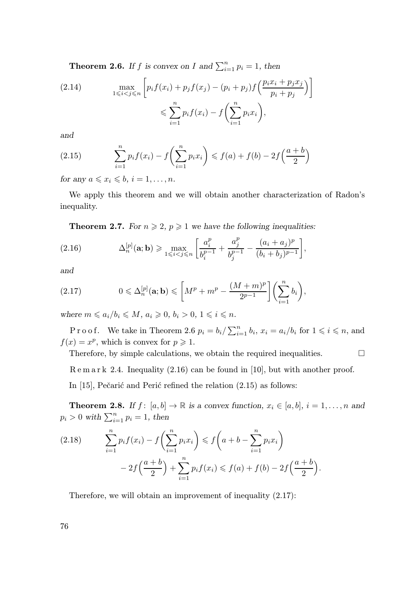**Theorem 2.6.** If f is convex on I and  $\sum_{i=1}^{n} p_i = 1$ , then

(2.14) 
$$
\max_{1 \leq i < j \leq n} \left[ p_i f(x_i) + p_j f(x_j) - (p_i + p_j) f\left(\frac{p_i x_i + p_j x_j}{p_i + p_j}\right) \right] \leq \sum_{i=1}^n p_i f(x_i) - f\left(\sum_{i=1}^n p_i x_i\right),
$$

and

(2.15) 
$$
\sum_{i=1}^{n} p_i f(x_i) - f\left(\sum_{i=1}^{n} p_i x_i\right) \leq f(a) + f(b) - 2f\left(\frac{a+b}{2}\right)
$$

for any  $a \leq x_i \leq b$ ,  $i = 1, \ldots, n$ .

We apply this theorem and we will obtain another characterization of Radon's inequality.

**Theorem 2.7.** For  $n \ge 2$ ,  $p \ge 1$  we have the following inequalities:

(2.16) 
$$
\Delta_n^{[p]}(\mathbf{a}; \mathbf{b}) \ge \max_{1 \le i < j \le n} \left[ \frac{a_i^p}{b_i^{p-1}} + \frac{a_j^p}{b_j^{p-1}} - \frac{(a_i + a_j)^p}{(b_i + b_j)^{p-1}} \right],
$$

and

(2.17) 
$$
0 \leq \Delta_n^{[p]}(\mathbf{a}; \mathbf{b}) \leq \left[ M^p + m^p - \frac{(M+m)^p}{2^{p-1}} \right] \left( \sum_{i=1}^n b_i \right),
$$

where  $m \leq a_i/b_i \leq M$ ,  $a_i \geq 0$ ,  $b_i > 0$ ,  $1 \leq i \leq n$ .

P r o o f. We take in Theorem 2.6  $p_i = b_i / \sum_{i=1}^n b_i$ ,  $x_i = a_i / b_i$  for  $1 \leq i \leq n$ , and  $f(x) = x^p$ , which is convex for  $p \ge 1$ .

Therefore, by simple calculations, we obtain the required inequalities.  $\Box$ 

R e m a r k 2.4. Inequality (2.16) can be found in [10], but with another proof.

In  $[15]$ , Pečarić and Perić refined the relation  $(2.15)$  as follows:

**Theorem 2.8.** If  $f: [a, b] \to \mathbb{R}$  is a convex function,  $x_i \in [a, b]$ ,  $i = 1, \ldots, n$  and  $p_i > 0$  with  $\sum_{i=1}^n p_i = 1$ , then

$$
(2.18) \qquad \sum_{i=1}^{n} p_i f(x_i) - f\left(\sum_{i=1}^{n} p_i x_i\right) \leq f\left(a+b-\sum_{i=1}^{n} p_i x_i\right) \\ - 2f\left(\frac{a+b}{2}\right) + \sum_{i=1}^{n} p_i f(x_i) \leq f(a) + f(b) - 2f\left(\frac{a+b}{2}\right).
$$

Therefore, we will obtain an improvement of inequality (2.17):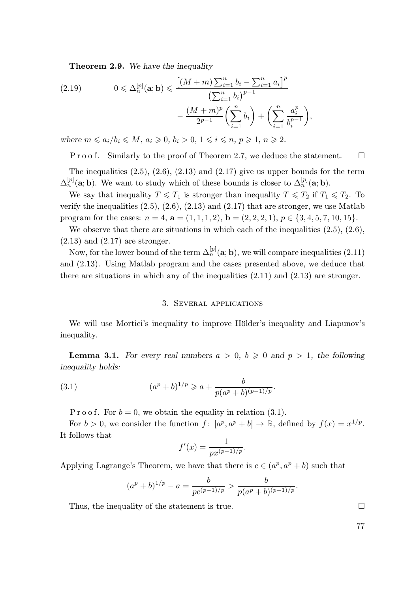Theorem 2.9. We have the inequality

(2.19) 
$$
0 \leq \Delta_n^{[p]}(\mathbf{a}; \mathbf{b}) \leq \frac{\left[ (M+m) \sum_{i=1}^n b_i - \sum_{i=1}^n a_i \right]^p}{\left( \sum_{i=1}^n b_i \right)^{p-1}} - \frac{(M+m)^p}{2^{p-1}} \left( \sum_{i=1}^n b_i \right) + \left( \sum_{i=1}^n \frac{a_i^p}{b_i^{p-1}} \right)
$$

where  $m \leq a_i/b_i \leq M$ ,  $a_i \geq 0$ ,  $b_i > 0$ ,  $1 \leq i \leq n$ ,  $p \geq 1$ ,  $n \geq 2$ .

P r o o f. Similarly to the proof of Theorem 2.7, we deduce the statement.  $\square$ 

,

The inequalities  $(2.5)$ ,  $(2.6)$ ,  $(2.13)$  and  $(2.17)$  give us upper bounds for the term  $\Delta_n^{[p]}(a; b)$ . We want to study which of these bounds is closer to  $\Delta_n^{[p]}(a; b)$ .

We say that inequality  $T \leq T_1$  is stronger than inequality  $T \leq T_2$  if  $T_1 \leq T_2$ . To verify the inequalities  $(2.5), (2.6), (2.13)$  and  $(2.17)$  that are stronger, we use Matlab program for the cases:  $n = 4$ ,  $\mathbf{a} = (1, 1, 1, 2)$ ,  $\mathbf{b} = (2, 2, 2, 1)$ ,  $p \in \{3, 4, 5, 7, 10, 15\}$ .

We observe that there are situations in which each of the inequalities  $(2.5)$ ,  $(2.6)$ ,  $(2.13)$  and  $(2.17)$  are stronger.

Now, for the lower bound of the term  $\Delta_n^{[p]}(a; b)$ , we will compare inequalities (2.11) and (2.13). Using Matlab program and the cases presented above, we deduce that there are situations in which any of the inequalities  $(2.11)$  and  $(2.13)$  are stronger.

### 3. Several applications

We will use Mortici's inequality to improve Hölder's inequality and Liapunov's inequality.

**Lemma 3.1.** For every real numbers  $a > 0$ ,  $b \ge 0$  and  $p > 1$ , the following inequality holds:

(3.1) 
$$
(a^p + b)^{1/p} \geqslant a + \frac{b}{p(a^p + b)^{(p-1)/p}}.
$$

P r o o f. For  $b = 0$ , we obtain the equality in relation (3.1).

For  $b > 0$ , we consider the function  $f : [a^p, a^p + b] \to \mathbb{R}$ , defined by  $f(x) = x^{1/p}$ . It follows that

$$
f'(x) = \frac{1}{px^{(p-1)/p}}.
$$

Applying Lagrange's Theorem, we have that there is  $c \in (a^p, a^p + b)$  such that

$$
(ap + b)1/p - a = \frac{b}{pc^{(p-1)/p}} > \frac{b}{p(ap + b)^{(p-1)/p}}.
$$

Thus, the inequality of the statement is true.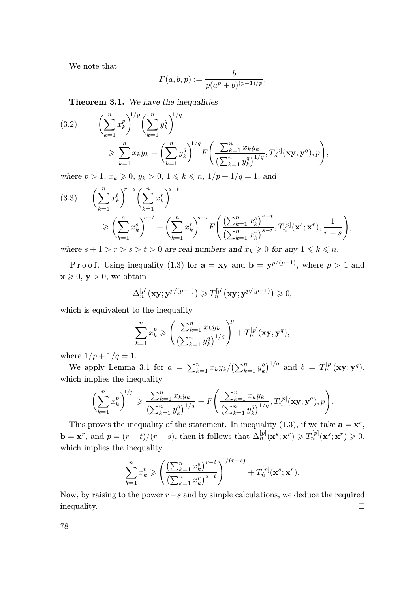We note that

$$
F(a, b, p) := \frac{b}{p(a^p + b)^{(p-1)/p}}.
$$

Theorem 3.1. We have the inequalities

$$
(3.2) \qquad \left(\sum_{k=1}^{n} x_k^p\right)^{1/p} \left(\sum_{k=1}^{n} y_k^q\right)^{1/q} \\
\geqslant \sum_{k=1}^{n} x_k y_k + \left(\sum_{k=1}^{n} y_k^q\right)^{1/q} F\left(\frac{\sum_{k=1}^{n} x_k y_k}{\left(\sum_{k=1}^{n} y_k^q\right)^{1/q}}, T_n^{[p]}(\mathbf{x}\mathbf{y}; \mathbf{y}^q), p\right),
$$

where  $p > 1$ ,  $x_k \ge 0$ ,  $y_k > 0$ ,  $1 \le k \le n$ ,  $1/p + 1/q = 1$ , and

$$
(3.3) \qquad \left(\sum_{k=1}^{n} x_k^t\right)^{r-s} \left(\sum_{k=1}^{n} x_k^r\right)^{s-t}
$$
\n
$$
\geqslant \left(\sum_{k=1}^{n} x_k^s\right)^{r-t} + \left(\sum_{k=1}^{n} x_k^r\right)^{s-t} F\left(\frac{\left(\sum_{k=1}^{n} x_k^s\right)^{r-t}}{\left(\sum_{k=1}^{n} x_k^r\right)^{s-t}}, T_n^{[p]}(\mathbf{x}^s; \mathbf{x}^r), \frac{1}{r-s}\right),
$$

where  $s + 1 > r > s > t > 0$  are real numbers and  $x_k \geq 0$  for any  $1 \leq k \leq n$ .

P r o o f. Using inequality (1.3) for  $\mathbf{a} = \mathbf{xy}$  and  $\mathbf{b} = \mathbf{y}^{p/(p-1)}$ , where  $p > 1$  and  $\mathbf{x} \geq 0$ ,  $\mathbf{y} > 0$ , we obtain

$$
\Delta_n^{[p]}(\mathbf{xy}; \mathbf{y}^{p/(p-1)}) \geq T_n^{[p]}(\mathbf{xy}; \mathbf{y}^{p/(p-1)}) \geq 0,
$$

which is equivalent to the inequality

$$
\sum_{k=1}^{n} x_k^p \geqslant \left(\frac{\sum_{k=1}^{n} x_k y_k}{\left(\sum_{k=1}^{n} y_k^q\right)^{1/q}}\right)^p + T_n^{[p]}(\mathbf{xy}; \mathbf{y}^q),
$$

where  $1/p + 1/q = 1$ .

We apply Lemma 3.1 for  $a = \sum_{k=1}^{n} x_k y_k / (\sum_{k=1}^{n} y_k^q)^{1/q}$  and  $b = T_n^{[p]}(\mathbf{xy}; \mathbf{y}^q)$ , which implies the inequality

$$
\left(\sum_{k=1}^n x_k^p\right)^{1/p} \geqslant \frac{\sum_{k=1}^n x_k y_k}{\left(\sum_{k=1}^n y_k^q\right)^{1/q}} + F\left(\frac{\sum_{k=1}^n x_k y_k}{\left(\sum_{k=1}^n y_k^q\right)^{1/q}}, T_n^{[p]}(\mathbf{xy}; \mathbf{y}^q), p\right).
$$

This proves the inequality of the statement. In inequality (1.3), if we take  $\mathbf{a} = \mathbf{x}^s$ ,  $\mathbf{b} = \mathbf{x}^r$ , and  $p = (r - t)/(r - s)$ , then it follows that  $\Delta_n^{[p]}(\mathbf{x}^s; \mathbf{x}^r) \geqslant T_n^{[p]}(\mathbf{x}^s; \mathbf{x}^r) \geqslant 0$ , which implies the inequality

$$
\sum_{k=1}^{n} x_k^t \geqslant \left( \frac{\left(\sum_{k=1}^{n} x_k^s\right)^{r-t}}{\left(\sum_{k=1}^{n} x_k^r\right)^{s-t}} \right)^{1/(r-s)} + T_n^{[p]}(\mathbf{x}^s; \mathbf{x}^r).
$$

Now, by raising to the power  $r-s$  and by simple calculations, we deduce the required inequality.

78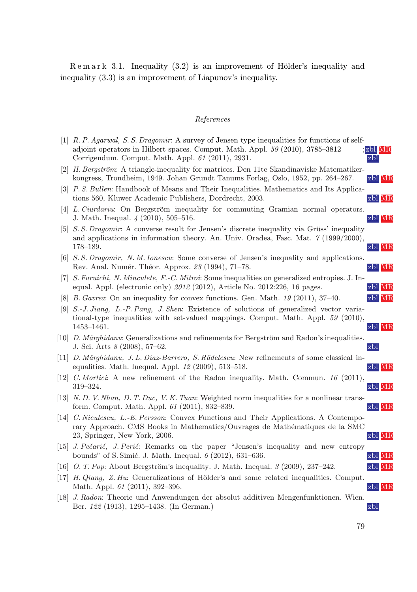R e m a r k 3.1. Inequality (3.2) is an improvement of Hölder's inequality and inequality (3.3) is an improvement of Liapunov's inequality.

## References

|    | [1] R. P. Agarwal, S. S. Dragomir: A survey of Jensen type inequalities for functions of self-<br>adjoint operators in Hilbert spaces. Comput. Math. Appl. 59 (2010), 3785–3812<br>Corrigendum. Comput. Math. Appl. 61 (2011), 2931. | abl MR<br>zbl |
|----|--------------------------------------------------------------------------------------------------------------------------------------------------------------------------------------------------------------------------------------|---------------|
|    | [2] H. Bergström: A triangle-inequality for matrices. Den 11te Skandinaviske Matematiker-<br>kongress, Trondheim, 1949. Johan Grundt Tanums Forlag, Oslo, 1952, pp. 264–267.                                                         | zbl MR        |
|    | [3] P.S. Bullen: Handbook of Means and Their Inequalities. Mathematics and Its Applica-<br>tions 560, Kluwer Academic Publishers, Dordrecht, 2003.                                                                                   | zbl MR        |
|    | [4] L. Ciurdariu: On Bergström inequality for commuting Gramian normal operators.<br>J. Math. Inequal. 4 (2010), 505–516.                                                                                                            | zbl MR        |
|    | [5] <i>S. S. Dragomir:</i> A converse result for Jensen's discrete inequality via Grüss' inequality<br>and applications in information theory. An. Univ. Oradea, Fasc. Mat. $\gamma$ (1999/2000),<br>$178 - 189.$                    | zbl MR        |
|    | [6] S. S. Dragomir, N. M. Ionescu: Some converse of Jensen's inequality and applications.<br>Rev. Anal. Numér. Théor. Approx. 23 (1994), 71–78.                                                                                      | zbl MR        |
|    | [7] <i>S. Furuichi, N. Minculete, F.-C. Mitroi:</i> Some inequalities on generalized entropies. J. In-<br>equal. Appl. (electronic only) 2012 (2012), Article No. 2012:226, 16 pages.                                                | zbl MR        |
|    | [8] <i>B. Gavrea</i> : On an inequality for convex functions. Gen. Math. $19$ (2011), 37–40.                                                                                                                                         | zbl MR        |
|    | [9] S.-J. Jiang, L.-P. Pang, J. Shen: Existence of solutions of generalized vector varia-<br>tional-type inequalities with set-valued mappings. Comput. Math. Appl. 59 (2010),<br>$1453 - 1461.$                                     | zbl MR        |
|    | [10] <i>D. Marghidanu:</i> Generalizations and refinements for Bergström and Radon's inequalities.<br>J. Sci. Arts $8(2008)$ , 57-62.                                                                                                | zbl           |
|    | [11] D. Märghidanu, J. L. Díaz-Barrero, S. Rădelescu: New refinements of some classical in-<br>equalities. Math. Inequal. Appl. $12$ (2009), 513-518.                                                                                | zbl MR        |
| 12 | <i>C. Mortici:</i> A new refinement of the Radon inequality. Math. Commun. 16 (2011),<br>$319 - 324.$                                                                                                                                | zbl MR        |
|    | [13] N.D. V. Nhan, D. T. Duc, V. K. Tuan: Weighted norm inequalities for a nonlinear trans-<br>form. Comput. Math. Appl. 61 (2011), 832-839.                                                                                         | zbl MR        |
|    | [14] C. Niculescu, L.-E. Persson: Convex Functions and Their Applications. A Contempo-<br>rary Approach. CMS Books in Mathematics/Ouvrages de Mathématiques de la SMC<br>23, Springer, New York, 2006.                               | zbl MR        |
| 15 | J. Pečarić, J. Perić: Remarks on the paper "Jensen's inequality and new entropy<br>bounds" of S. Simić. J. Math. Inequal. $6(2012)$ , 631–636.                                                                                       | zbl MR        |
|    | [16] O. T. Pop: About Bergström's inequality. J. Math. Inequal. $\beta$ (2009), 237-242.                                                                                                                                             | zbl MR        |
| 17 | H. Qiang, Z. Hu: Generalizations of Hölder's and some related inequalities. Comput.<br>Math. Appl. 61 (2011), 392-396.                                                                                                               | zbl MR        |
| 18 | J. Radon: Theorie und Anwendungen der absolut additiven Mengenfunktionen. Wien.<br>Ber. 122 (1913), 1295–1438. (In German.)                                                                                                          | zbl           |

79